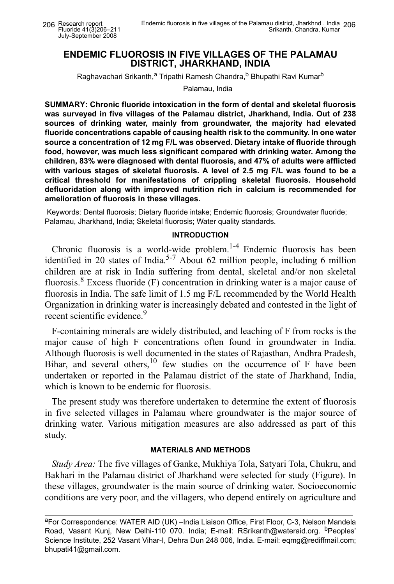## **ENDEMIC FLUOROSIS IN FIVE VILLAGES OF THE PALAMAU DISTRICT, JHARKHAND, INDIA**

Raghavachari Srikanth,<sup>a</sup> Tripathi Ramesh Chandra,<sup>b</sup> Bhupathi Ravi Kumar<sup>b</sup>

Palamau, India

**SUMMARY: Chronic fluoride intoxication in the form of dental and skeletal fluorosis was surveyed in five villages of the Palamau district, Jharkhand, India. Out of 238 sources of drinking water, mainly from groundwater, the majority had elevated fluoride concentrations capable of causing health risk to the community. In one water source a concentration of 12 mg F/L was observed. Dietary intake of fluoride through food, however, was much less significant compared with drinking water. Among the children, 83% were diagnosed with dental fluorosis, and 47% of adults were afflicted with various stages of skeletal fluorosis. A level of 2.5 mg F/L was found to be a critical threshold for manifestations of crippling skeletal fluorosis. Household defluoridation along with improved nutrition rich in calcium is recommended for amelioration of fluorosis in these villages.**

Keywords: Dental fluorosis; Dietary fluoride intake; Endemic fluorosis; Groundwater fluoride; Palamau, Jharkhand, India; Skeletal fluorosis; Water quality standards.

### **INTRODUCTION**

Chronic fluorosis is a world-wide problem. $1-4$  Endemic fluorosis has been identified in 20 states of India.<sup>5-7</sup> About 62 million people, including 6 million children are at risk in India suffering from dental, skeletal and/or non skeletal fluorosis.<sup>8</sup> Excess fluoride  $(F)$  concentration in drinking water is a major cause of fluorosis in India. The safe limit of 1.5 mg F/L recommended by the World Health Organization in drinking water is increasingly debated and contested in the light of recent scientific evidence.<sup>9</sup>

F-containing minerals are widely distributed, and leaching of F from rocks is the major cause of high F concentrations often found in groundwater in India. Although fluorosis is well documented in the states of Rajasthan, Andhra Pradesh, Bihar, and several others,  $10$  few studies on the occurrence of F have been undertaken or reported in the Palamau district of the state of Jharkhand, India, which is known to be endemic for fluorosis.

The present study was therefore undertaken to determine the extent of fluorosis in five selected villages in Palamau where groundwater is the major source of drinking water. Various mitigation measures are also addressed as part of this study.

### **MATERIALS AND METHODS**

*Study Area:* The five villages of Ganke, Mukhiya Tola, Satyari Tola, Chukru, and Bakhari in the Palamau district of Jharkhand were selected for study (Figure). In these villages, groundwater is the main source of drinking water. Socioeconomic conditions are very poor, and the villagers, who depend entirely on agriculture and

aFor Correspondence: WATER AID (UK) –India Liaison Office, First Floor, C-3, Nelson Mandela Road, Vasant Kunj, New Delhi-110 070. India; E-mail: RSrikanth@wateraid.org. <sup>b</sup>Peoples' Science Institute, 252 Vasant Vihar-I, Dehra Dun 248 006, India. E-mail: eqmg@rediffmail.com; bhupati41@gmail.com.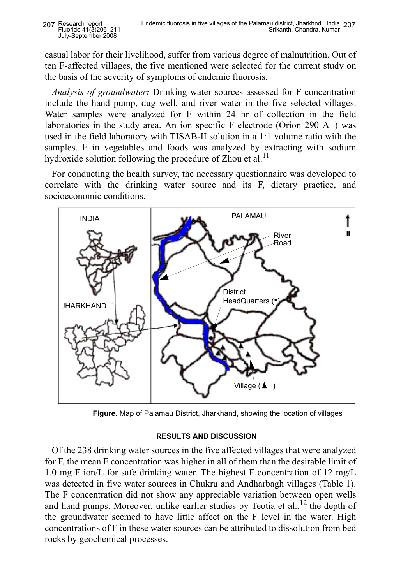casual labor for their livelihood, suffer from various degree of malnutrition. Out of ten F-affected villages, the five mentioned were selected for the current study on the basis of the severity of symptoms of endemic fluorosis.

*Analysis of groundwater:* Drinking water sources assessed for F concentration include the hand pump, dug well, and river water in the five selected villages. Water samples were analyzed for F within 24 hr of collection in the field laboratories in the study area. An ion specific F electrode (Orion 290 A+) was used in the field laboratory with TISAB-II solution in a 1:1 volume ratio with the samples. F in vegetables and foods was analyzed by extracting with sodium hydroxide solution following the procedure of Zhou et al.<sup>11</sup>

For conducting the health survey, the necessary questionnaire was developed to correlate with the drinking water source and its F, dietary practice, and socioeconomic conditions.



 **Figure.** Map of Palamau District, Jharkhand, showing the location of villages

# **RESULTS AND DISCUSSION**

Of the 238 drinking water sources in the five affected villages that were analyzed for F, the mean F concentration was higher in all of them than the desirable limit of 1.0 mg F ion/L for safe drinking water. The highest F concentration of 12 mg/L was detected in five water sources in Chukru and Andharbagh villages (Table 1). The F concentration did not show any appreciable variation between open wells and hand pumps. Moreover, unlike earlier studies by Teotia et al.,  $^{12}$  the depth of the groundwater seemed to have little affect on the F level in the water. High concentrations of F in these water sources can be attributed to dissolution from bed rocks by geochemical processes.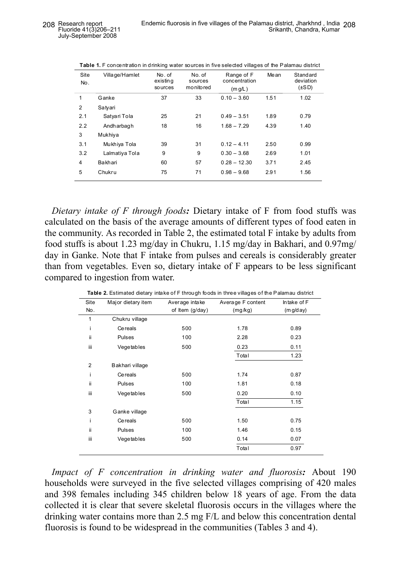| Site<br>No.    | Village/Hamlet | No. of<br>existing<br>so urces | No. of<br>sources<br>monitored | Range of F<br>concentration<br>(m g/L) | Me an | <b>Standard</b><br>deviation<br>$(\pm SD)$ |
|----------------|----------------|--------------------------------|--------------------------------|----------------------------------------|-------|--------------------------------------------|
| 1              | Ganke          | 37                             | 33                             | $0.10 - 3.60$                          | 1.51  | 1.02                                       |
| $\overline{2}$ | Satyari        |                                |                                |                                        |       |                                            |
| 2.1            | Satyari Tola   | 25                             | 21                             | $0.49 - 3.51$                          | 1.89  | 0.79                                       |
| 2.2            | Andharbagh     | 18                             | 16                             | $1.68 - 7.29$                          | 4.39  | 1.40                                       |
| 3              | Mukhiya        |                                |                                |                                        |       |                                            |
| 3.1            | Mukhiya Tola   | 39                             | 31                             | $0.12 - 4.11$                          | 2.50  | 0.99                                       |
| 3.2            | Lalmatiya Tola | 9                              | 9                              | $0.30 - 3.68$                          | 2.69  | 1.01                                       |
| 4              | Bakhari        | 60                             | 57                             | $0.28 - 12.30$                         | 3.71  | 2.45                                       |
| 5              | Chukru         | 75                             | 71                             | $0.98 - 9.68$                          | 2.91  | 1.56                                       |
|                |                |                                |                                |                                        |       |                                            |

|  | Table 1. F concentration in drinking water sources in five selected villages of the Palamau district |
|--|------------------------------------------------------------------------------------------------------|
|  |                                                                                                      |

*Dietary intake of F through foods:* Dietary intake of F from food stuffs was calculated on the basis of the average amounts of different types of food eaten in the community. As recorded in Table 2, the estimated total F intake by adults from food stuffs is about 1.23 mg/day in Chukru, 1.15 mg/day in Bakhari, and 0.97mg/ day in Ganke. Note that F intake from pulses and cereals is considerably greater than from vegetables. Even so, dietary intake of F appears to be less significant compared to ingestion from water.

| Site           | Major dietary item | Average intake  | Average F content | Intake of F |  |
|----------------|--------------------|-----------------|-------------------|-------------|--|
| No.            |                    | of Item (g/day) | (mg/kg)           | (m g/d ay)  |  |
| 1              | Chukru village     |                 |                   |             |  |
| i              | Cereals            | 500             | 1.78              | 0.89        |  |
| ii.            | Pulses             | 100             | 2.28              | 0.23        |  |
| iii            | Vegetables         | 500             | 0.23              | 0.11        |  |
|                |                    |                 | Total             | 1.23        |  |
| $\overline{2}$ | Bakhari village    |                 |                   |             |  |
| i.             | Cereals            | 500             | 1.74              | 0.87        |  |
| ii.            | Pulses             | 100             | 1.81              | 0.18        |  |
| iii            | Vegetables         | 500             | 0.20              | 0.10        |  |
|                |                    |                 | Total             | 1.15        |  |
| 3              | Ganke village      |                 |                   |             |  |
| i              | Cereals            | 500             | 1.50              | 0.75        |  |
| ii.            | Pulses             | 100             | 1.46              | 0.15        |  |
| iii            | Vegetables         | 500             | 0.14              | 0.07        |  |
|                |                    |                 | Total             | 0.97        |  |

**Table 2.** Estimated dietary intake of F through foods in three villages of the Palamau district

*Impact of F concentration in drinking water and fluorosis:* About 190 households were surveyed in the five selected villages comprising of 420 males and 398 females including 345 children below 18 years of age. From the data collected it is clear that severe skeletal fluorosis occurs in the villages where the drinking water contains more than 2.5 mg F/L and below this concentration dental fluorosis is found to be widespread in the communities (Tables 3 and 4).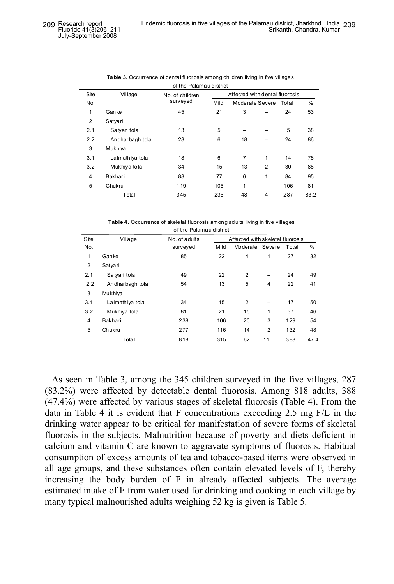| <u>UI LIIC FAIAIIIAU UISLIIUL</u> |                 |                 |                                |                 |                |       |      |
|-----------------------------------|-----------------|-----------------|--------------------------------|-----------------|----------------|-------|------|
| Site                              | Village         | No. of children | Affected with dental fluorosis |                 |                |       |      |
| No.                               |                 | surveyed        | Mild                           | Moderate Severe |                | Total | %    |
| $\mathbf{1}$                      | Ganke           | 45              | 21                             | 3               |                | 24    | 53   |
| $\overline{2}$                    | Satyari         |                 |                                |                 |                |       |      |
| 2.1                               | Satyari tola    | 13              | 5                              |                 |                | 5     | 38   |
| 2.2                               | Andharbagh tola | 28              | 6                              | 18              |                | 24    | 86   |
| 3                                 | Mukhiya         |                 |                                |                 |                |       |      |
| 3.1                               | Lalmathiya tola | 18              | 6                              | 7               | 1              | 14    | 78   |
| 3.2                               | Mukhiya tola    | 34              | 15                             | 13              | $\overline{2}$ | 30    | 88   |
| 4                                 | Bakhari         | 88              | 77                             | 6               | 1              | 84    | 95   |
| 5                                 | Chukru          | 119             | 105                            | 1               |                | 106   | 81   |
|                                   | Total           | 345             | 235                            | 48              | $\overline{4}$ | 287   | 83.2 |
|                                   |                 |                 |                                |                 |                |       |      |

| <b>Table 3.</b> Occurrence of dental fluorosis among children living in five villages |
|---------------------------------------------------------------------------------------|
| of the Palamau district                                                               |

**Table 4.** Occurrence of skeletal fluorosis among adults living in five villages of the Palamau district

| <b>S</b> ite   | Village         | No. of adults | Affected with skeletal fluorosis |                 |                |       |      |
|----------------|-----------------|---------------|----------------------------------|-----------------|----------------|-------|------|
| No.            |                 | surveyed      | Mild                             | Moderate Severe |                | Total | %    |
| 1              | Ganke           | 85            | 22                               | 4               | 1              | 27    | 32   |
| $\overline{2}$ | Satyari         |               |                                  |                 |                |       |      |
| 2.1            | Satyari tola    | 49            | 22                               | 2               |                | 24    | 49   |
| 2.2            | Andharbagh tola | 54            | 13                               | 5               | 4              | 22    | 41   |
| 3              | Mukhiya         |               |                                  |                 |                |       |      |
| 3.1            | Lalmathiya tola | 34            | 15                               | 2               |                | 17    | 50   |
| 3.2            | Mukhiya tola    | 81            | 21                               | 15              | 1              | 37    | 46   |
| $\overline{4}$ | Bakhari         | 238           | 106                              | 20              | 3              | 129   | 54   |
| 5              | Chukru          | 277           | 116                              | 14              | $\overline{2}$ | 132   | 48   |
|                | Total           | 818           | 315                              | 62              | 11             | 388   | 47.4 |

As seen in Table 3, among the 345 children surveyed in the five villages, 287 (83.2%) were affected by detectable dental fluorosis. Among 818 adults, 388 (47.4%) were affected by various stages of skeletal fluorosis (Table 4). From the data in Table 4 it is evident that F concentrations exceeding 2.5 mg F/L in the drinking water appear to be critical for manifestation of severe forms of skeletal fluorosis in the subjects. Malnutrition because of poverty and diets deficient in calcium and vitamin C are known to aggravate symptoms of fluorosis. Habitual consumption of excess amounts of tea and tobacco-based items were observed in all age groups, and these substances often contain elevated levels of F, thereby increasing the body burden of F in already affected subjects. The average estimated intake of F from water used for drinking and cooking in each village by many typical malnourished adults weighing 52 kg is given is Table 5.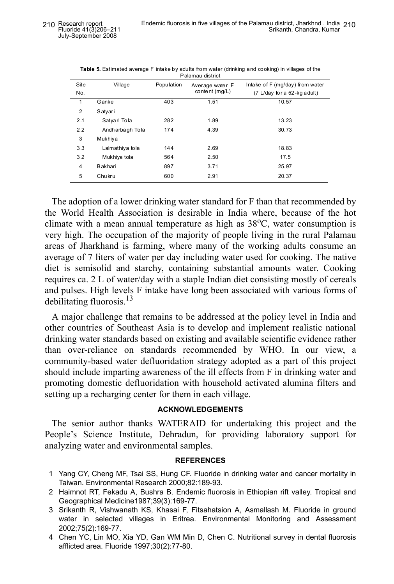| Palaniau uistilut |                    |            |                                     |                                 |  |  |  |
|-------------------|--------------------|------------|-------------------------------------|---------------------------------|--|--|--|
| Site              | Village            | Population | Average water F<br>content $(mq/L)$ | Intake of F (mg/day) from water |  |  |  |
| No.               |                    |            |                                     | (7 L/day for a 52-kg adult)     |  |  |  |
| 1                 | Ganke              | 403        | 1.51                                | 10.57                           |  |  |  |
| $\overline{2}$    | Satyari            |            |                                     |                                 |  |  |  |
| 2.1               | Satyari Tola       | 282        | 1.89                                | 13.23                           |  |  |  |
| 2.2               | Andh arba gh To la | 174        | 4.39                                | 30.73                           |  |  |  |
| 3                 | Mukhiya            |            |                                     |                                 |  |  |  |
| 3.3               | Lalmathiya tola    | 144        | 2.69                                | 18.83                           |  |  |  |
| 3.2               | Mukhiya tola       | 564        | 2.50                                | 17.5                            |  |  |  |
| 4                 | Bakhari            | 897        | 3.71                                | 25.97                           |  |  |  |
| 5                 | Chukru             | 600        | 2.91                                | 20.37                           |  |  |  |
|                   |                    |            |                                     |                                 |  |  |  |

**Table 5.** Estimated average F intake by adults from water (drinking and cooking) in villages of the Palamau district

The adoption of a lower drinking water standard for F than that recommended by the World Health Association is desirable in India where, because of the hot climate with a mean annual temperature as high as  $38^{\circ}$ C, water consumption is very high. The occupation of the majority of people living in the rural Palamau areas of Jharkhand is farming, where many of the working adults consume an average of 7 liters of water per day including water used for cooking. The native diet is semisolid and starchy, containing substantial amounts water. Cooking requires ca. 2 L of water/day with a staple Indian diet consisting mostly of cereals and pulses. High levels F intake have long been associated with various forms of debilitating fluorosis. $^{13}$ 

A major challenge that remains to be addressed at the policy level in India and other countries of Southeast Asia is to develop and implement realistic national drinking water standards based on existing and available scientific evidence rather than over-reliance on standards recommended by WHO. In our view, a community-based water defluoridation strategy adopted as a part of this project should include imparting awareness of the ill effects from F in drinking water and promoting domestic defluoridation with household activated alumina filters and setting up a recharging center for them in each village.

### **ACKNOWLEDGEMENTS**

The senior author thanks WATERAID for undertaking this project and the People's Science Institute, Dehradun, for providing laboratory support for analyzing water and environmental samples.

#### **REFERENCES**

- 1 Yang CY, Cheng MF, Tsai SS, Hung CF. Fluoride in drinking water and cancer mortality in Taiwan. Environmental Research 2000;82:189-93.
- 2 Haimnot RT, Fekadu A, Bushra B. Endemic fluorosis in Ethiopian rift valley. Tropical and Geographical Medicine1987;39(3):169-77.
- 3 Srikanth R, Vishwanath KS, Khasai F, Fitsahatsion A, Asmallash M. Fluoride in ground water in selected villages in Eritrea. Environmental Monitoring and Assessment 2002;75(2):169-77.
- 4 Chen YC, Lin MO, Xia YD, Gan WM Min D, Chen C. Nutritional survey in dental fluorosis afflicted area. Fluoride 1997;30(2):77-80.